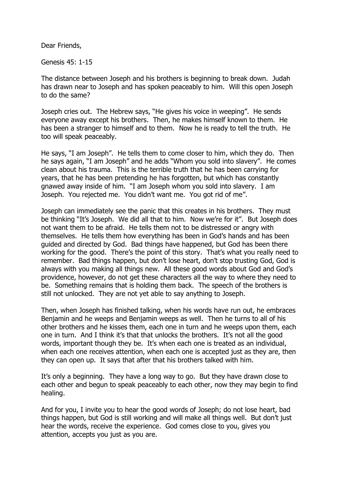Dear Friends,

Genesis 45: 1-15

The distance between Joseph and his brothers is beginning to break down. Judah has drawn near to Joseph and has spoken peaceably to him. Will this open Joseph to do the same?

Joseph cries out. The Hebrew says, "He gives his voice in weeping". He sends everyone away except his brothers. Then, he makes himself known to them. He has been a stranger to himself and to them. Now he is ready to tell the truth. He too will speak peaceably.

He says, "I am Joseph". He tells them to come closer to him, which they do. Then he says again, "I am Joseph" and he adds "Whom you sold into slavery". He comes clean about his trauma. This is the terrible truth that he has been carrying for years, that he has been pretending he has forgotten, but which has constantly gnawed away inside of him. "I am Joseph whom you sold into slavery. I am Joseph. You rejected me. You didn't want me. You got rid of me".

Joseph can immediately see the panic that this creates in his brothers. They must be thinking "It's Joseph. We did all that to him. Now we're for it". But Joseph does not want them to be afraid. He tells them not to be distressed or angry with themselves. He tells them how everything has been in God's hands and has been guided and directed by God. Bad things have happened, but God has been there working for the good. There's the point of this story. That's what you really need to remember. Bad things happen, but don't lose heart, don't stop trusting God, God is always with you making all things new. All these good words about God and God's providence, however, do not get these characters all the way to where they need to be. Something remains that is holding them back. The speech of the brothers is still not unlocked. They are not yet able to say anything to Joseph.

Then, when Joseph has finished talking, when his words have run out, he embraces Benjamin and he weeps and Benjamin weeps as well. Then he turns to all of his other brothers and he kisses them, each one in turn and he weeps upon them, each one in turn. And I think it's that that unlocks the brothers. It's not all the good words, important though they be. It's when each one is treated as an individual, when each one receives attention, when each one is accepted just as they are, then they can open up. It says that after that his brothers talked with him.

It's only a beginning. They have a long way to go. But they have drawn close to each other and begun to speak peaceably to each other, now they may begin to find healing.

And for you, I invite you to hear the good words of Joseph; do not lose heart, bad things happen, but God is still working and will make all things well. But don't just hear the words, receive the experience. God comes close to you, gives you attention, accepts you just as you are.